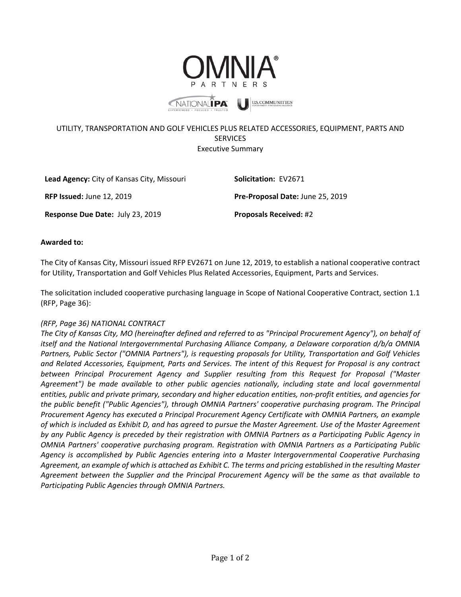

## UTILITY, TRANSPORTATION AND GOLF VEHICLES PLUS RELATED ACCESSORIES, EQUIPMENT, PARTS AND **SERVICES** Executive Summary

| Lead Agency: City of Kansas City, Missouri | <b>Solicitation: EV2671</b>      |
|--------------------------------------------|----------------------------------|
| <b>RFP Issued: June 12, 2019</b>           | Pre-Proposal Date: June 25, 2019 |
| <b>Response Due Date: July 23, 2019</b>    | <b>Proposals Received: #2</b>    |

## **Awarded to:**

The City of Kansas City, Missouri issued RFP EV2671 on June 12, 2019, to establish a national cooperative contract for Utility, Transportation and Golf Vehicles Plus Related Accessories, Equipment, Parts and Services.

The solicitation included cooperative purchasing language in Scope of National Cooperative Contract, section 1.1 (RFP, Page 36):

## *(RFP, Page 36) NATIONAL CONTRACT*

*The City of Kansas City, MO (hereinafter defined and referred to as "Principal Procurement Agency"), on behalf of itself and the National Intergovernmental Purchasing Alliance Company, a Delaware corporation d/b/a OMNIA Partners, Public Sector ("OMNIA Partners"), is requesting proposals for Utility, Transportation and Golf Vehicles and Related Accessories, Equipment, Parts and Services. The intent of this Request for Proposal is any contract between Principal Procurement Agency and Supplier resulting from this Request for Proposal ("Master Agreement") be made available to other public agencies nationally, including state and local governmental entities, public and private primary, secondary and higher education entities, non-profit entities, and agencies for the public benefit ("Public Agencies"), through OMNIA Partners' cooperative purchasing program. The Principal Procurement Agency has executed a Principal Procurement Agency Certificate with OMNIA Partners, an example of which is included as Exhibit D, and has agreed to pursue the Master Agreement. Use of the Master Agreement by any Public Agency is preceded by their registration with OMNIA Partners as a Participating Public Agency in OMNIA Partners' cooperative purchasing program. Registration with OMNIA Partners as a Participating Public Agency is accomplished by Public Agencies entering into a Master Intergovernmental Cooperative Purchasing Agreement, an example of which is attached as Exhibit C. The terms and pricing established in the resulting Master Agreement between the Supplier and the Principal Procurement Agency will be the same as that available to Participating Public Agencies through OMNIA Partners.*